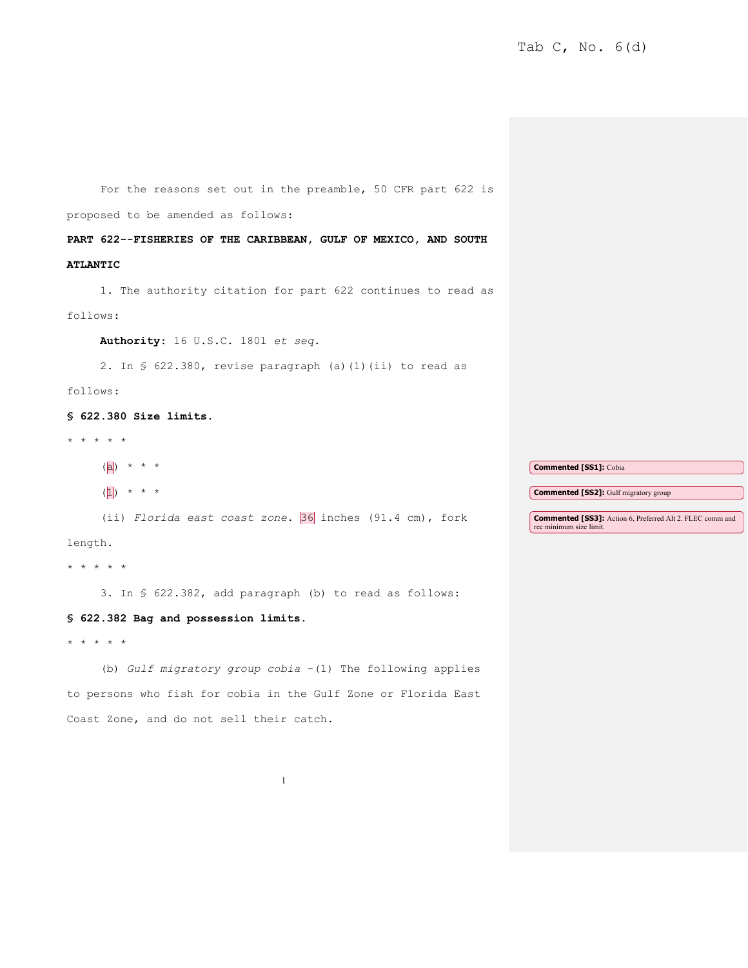For the reasons set out in the preamble, 50 CFR part 622 is proposed to be amended as follows: **PART 622--FISHERIES OF THE CARIBBEAN, GULF OF MEXICO, AND SOUTH ATLANTIC**  1. The authority citation for part 622 continues to read as follows: **Authority**: 16 U.S.C. 1801 *et seq*. 2. In § 622.380, revise paragraph (a)(1)(ii) to read as follows: **§ 622.380 Size limits.**

\* \* \* \* \*

| ( a )                                                   | <b>Commented [SS1]: Cobia</b>                                                               |
|---------------------------------------------------------|---------------------------------------------------------------------------------------------|
| $\star$ $\star$ $\star$<br>( 1 )                        | <b>Commented [SS2]:</b> Gulf migratory group                                                |
| (ii) Florida east coast zone. 36 inches (91.4 cm), fork | <b>Commented [SS3]:</b> Action 6, Preferred Alt 2. FLEC comm and<br>rec minimum size limit. |

length.

\* \* \* \* \*

3. In § 622.382, add paragraph (b) to read as follows:

## **§ 622.382 Bag and possession limits.**

\* \* \* \* \*

(b) *Gulf migratory group cobia* -(1) The following applies to persons who fish for cobia in the Gulf Zone or Florida East Coast Zone, and do not sell their catch.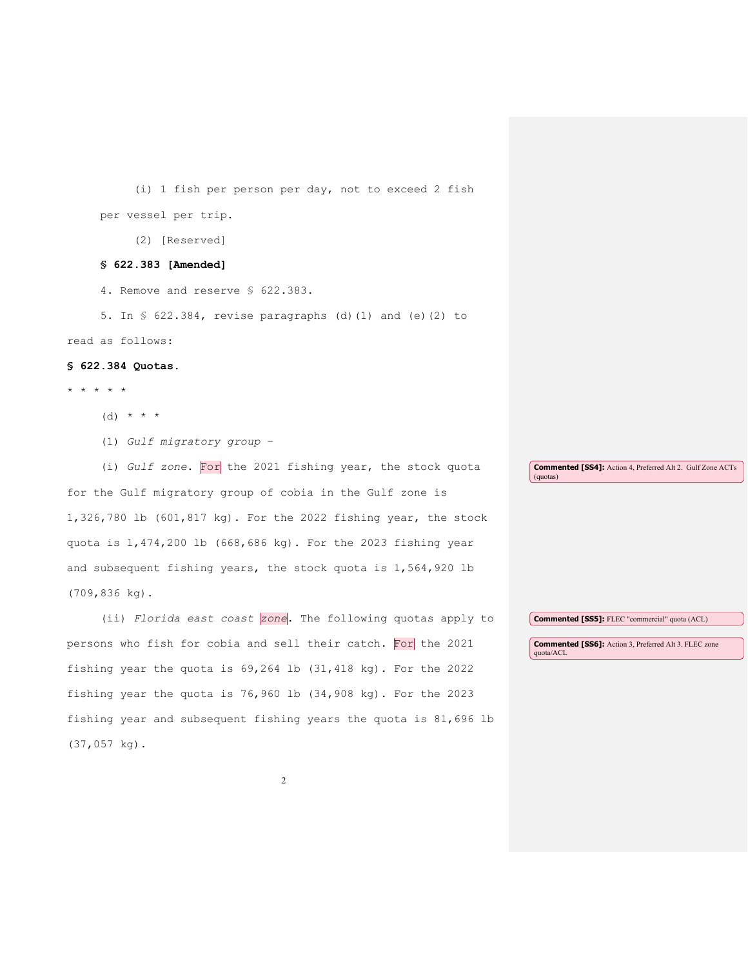(i) 1 fish per person per day, not to exceed 2 fish per vessel per trip. (2) [Reserved] **§ 622.383 [Amended]** 4. Remove and reserve § 622.383. 5. In § 622.384, revise paragraphs (d)(1) and (e)(2) to read as follows: **§ 622.384 Quotas.** \* \* \* \* \* (d)  $* * * *$ (1) *Gulf migratory group* – (i) *Gulf zone*. For the 2021 fishing year, the stock quota for the Gulf migratory group of cobia in the Gulf zone is 1,326,780 lb (601,817 kg). For the 2022 fishing year, the stock quota is 1,474,200 lb (668,686 kg). For the 2023 fishing year and subsequent fishing years, the stock quota is 1,564,920 lb (709,836 kg). (ii) *Florida east coast zone*. The following quotas apply to persons who fish for cobia and sell their catch. For the 2021 fishing year the quota is 69,264 lb (31,418 kg). For the 2022 fishing year the quota is 76,960 lb (34,908 kg). For the 2023 fishing year and subsequent fishing years the quota is 81,696 lb (37,057 kg). **Commented [SS4]:** Action 4, Preferred Alt 2. Gulf Zone ACTs (quotas) **Commented [SS5]:** FLEC "commercial" quota (ACL) **Commented [SS6]:** Action 3, Preferred Alt 3. FLEC zone quota/ACL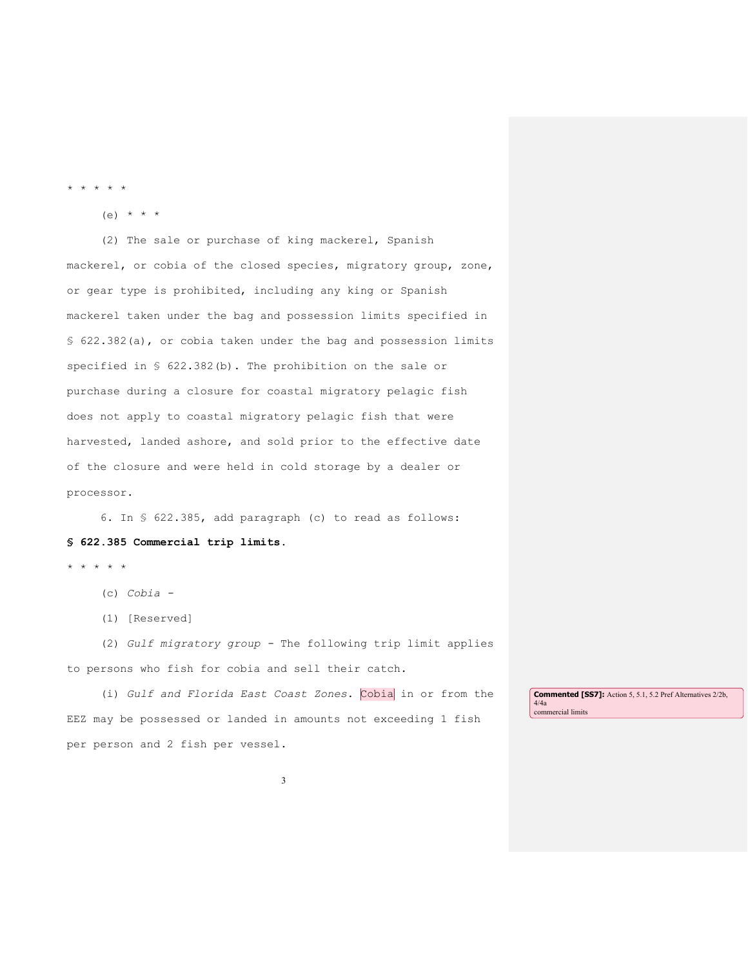\* \* \* \* \*

 $(e)$  \* \* \*

(2) The sale or purchase of king mackerel, Spanish mackerel, or cobia of the closed species, migratory group, zone, or gear type is prohibited, including any king or Spanish mackerel taken under the bag and possession limits specified in § 622.382(a), or cobia taken under the bag and possession limits specified in § 622.382(b). The prohibition on the sale or purchase during a closure for coastal migratory pelagic fish does not apply to coastal migratory pelagic fish that were harvested, landed ashore, and sold prior to the effective date of the closure and were held in cold storage by a dealer or processor.

6. In § 622.385, add paragraph (c) to read as follows: **§ 622.385 Commercial trip limits.** 

\* \* \* \* \*

- (c) *Cobia -*
- (1) [Reserved]

(2) *Gulf migratory group -* The following trip limit applies to persons who fish for cobia and sell their catch.

(i) *Gulf and Florida East Coast Zones*. Cobia in or from the EEZ may be possessed or landed in amounts not exceeding 1 fish per person and 2 fish per vessel. **Commented [SS7]:** Action 5, 5.1, 5.2 Pref Alternatives 2/2b, 4/4a commercial limits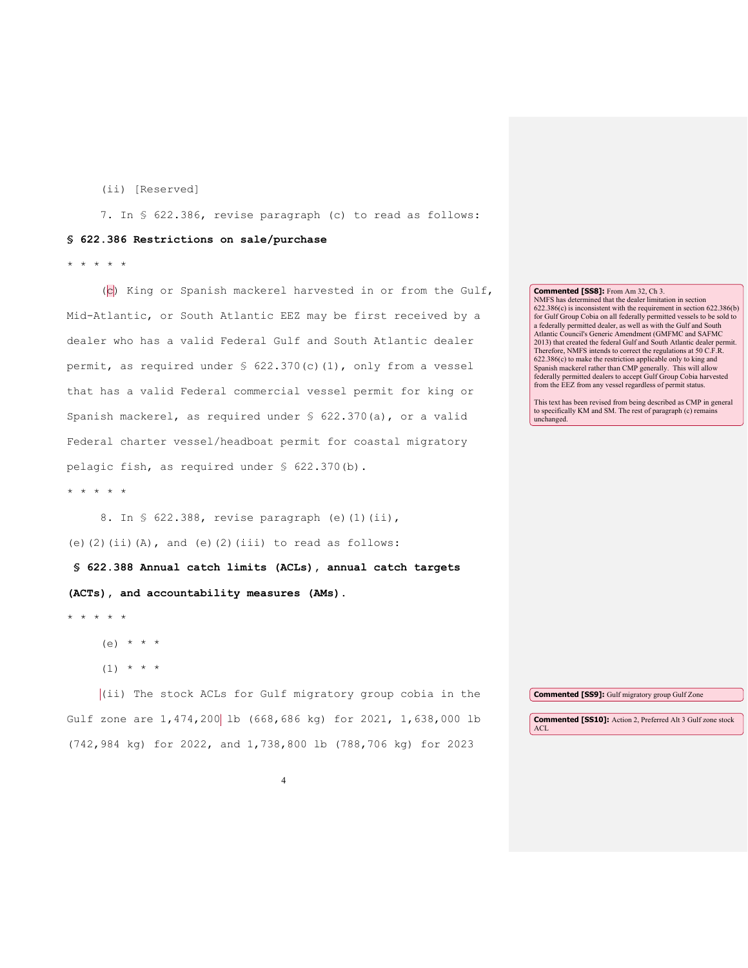(ii) [Reserved]

7. In § 622.386, revise paragraph (c) to read as follows:

## **§ 622.386 Restrictions on sale/purchase**

\* \* \* \* \*

(c) King or Spanish mackerel harvested in or from the Gulf, Mid-Atlantic, or South Atlantic EEZ may be first received by a dealer who has a valid Federal Gulf and South Atlantic dealer permit, as required under § 622.370(c)(1), only from a vessel that has a valid Federal commercial vessel permit for king or Spanish mackerel, as required under § 622.370(a), or a valid Federal charter vessel/headboat permit for coastal migratory pelagic fish, as required under § 622.370(b).

\* \* \* \* \*

8. In § 622.388, revise paragraph (e)(1)(ii), (e)(2)(ii)(A), and (e)(2)(iii) to read as follows:

**§ 622.388 Annual catch limits (ACLs), annual catch targets (ACTs), and accountability measures (AMs).**

\* \* \* \* \*

 $(e)$  \* \* \*

 $(1)$  \* \* \*

(ii) The stock ACLs for Gulf migratory group cobia in the Gulf zone are 1,474,200 lb (668,686 kg) for 2021, 1,638,000 lb (742,984 kg) for 2022, and 1,738,800 lb (788,706 kg) for 2023 **Commented [SS9]:** Gulf migratory group Gulf Zone **Commented [SS10]:** Action 2, Preferred Alt 3 Gulf zone stock ACL

**Commented [SS8]:** From Am 32, Ch 3.

NMFS has determined that the dealer limitation in section 622.386(c) is inconsistent with the requirement in section 622.386(b) for Gulf Group Cobia on all federally permitted vessels to be sold to a federally permitted dealer, as well as with the Gulf and South Atlantic Council's Generic Amendment (GMFMC and SAFMC 2013) that created the federal Gulf and South Atlantic dealer permit. Therefore, NMFS intends to correct the regulations at 50 C.F.R. 622.386(c) to make the restriction applicable only to king and Spanish mackerel rather than CMP generally. This will allow federally permitted dealers to accept Gulf Group Cobia harvested from the EEZ from any vessel regardless of permit status.

This text has been revised from being described as CMP in general to specifically KM and SM. The rest of paragraph (c) remains unchanged.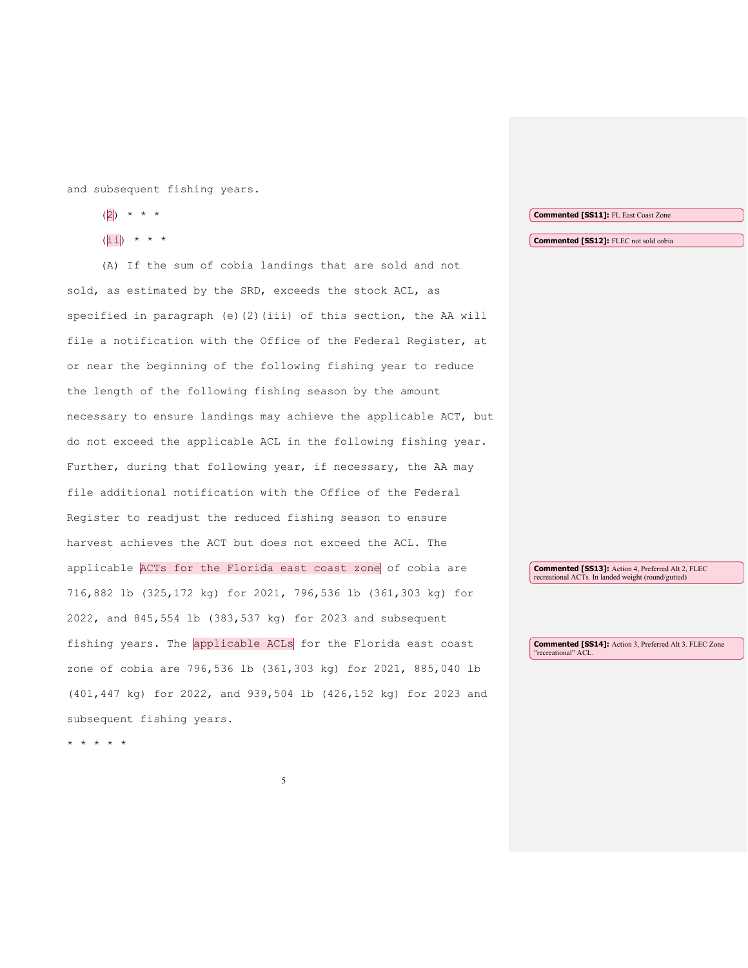| and subsequent fishing years.                                    |                                                                                                                |
|------------------------------------------------------------------|----------------------------------------------------------------------------------------------------------------|
| (2)<br>$\star$ $\star$ $\star$                                   | <b>Commented [SS11]:</b> FL East Coast Zone                                                                    |
| $(\overline{\text{iii}})$ * * *                                  | <b>Commented [SS12]:</b> FLEC not sold cobia                                                                   |
| (A) If the sum of cobia landings that are sold and not           |                                                                                                                |
| sold, as estimated by the SRD, exceeds the stock ACL, as         |                                                                                                                |
| specified in paragraph (e)(2)(iii) of this section, the AA will  |                                                                                                                |
| file a notification with the Office of the Federal Register, at  |                                                                                                                |
| or near the beginning of the following fishing year to reduce    |                                                                                                                |
| the length of the following fishing season by the amount         |                                                                                                                |
| necessary to ensure landings may achieve the applicable ACT, but |                                                                                                                |
| do not exceed the applicable ACL in the following fishing year.  |                                                                                                                |
| Further, during that following year, if necessary, the AA may    |                                                                                                                |
| file additional notification with the Office of the Federal      |                                                                                                                |
| Register to readjust the reduced fishing season to ensure        |                                                                                                                |
| harvest achieves the ACT but does not exceed the ACL. The        |                                                                                                                |
| applicable ACTs for the Florida east coast zone of cobia are     | <b>Commented [SS13]:</b> Action 4, Preferred Alt 2, FLEC<br>recreational ACTs. In landed weight (round/gutted) |
| 716,882 lb (325,172 kg) for 2021, 796,536 lb (361,303 kg) for    |                                                                                                                |
| 2022, and 845,554 lb (383,537 kg) for 2023 and subsequent        |                                                                                                                |
| fishing years. The applicable ACLs for the Florida east coast    | <b>Commented [SS14]:</b> Action 3, Preferred Alt 3. FLEC Zone<br>"recreational" ACL.                           |
| zone of cobia are 796,536 lb (361,303 kg) for 2021, 885,040 lb   |                                                                                                                |
| (401,447 kg) for 2022, and 939,504 lb (426,152 kg) for 2023 and  |                                                                                                                |
| subsequent fishing years.                                        |                                                                                                                |
| * * *                                                            |                                                                                                                |
|                                                                  |                                                                                                                |

5